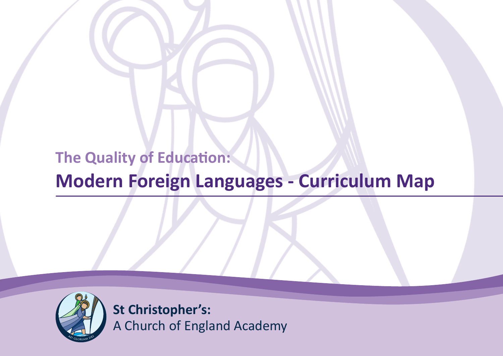# **The Quality of Education:**

# **Modern Foreign Languages - Curriculum Map**



**St Christopher's:** A Church of England Academy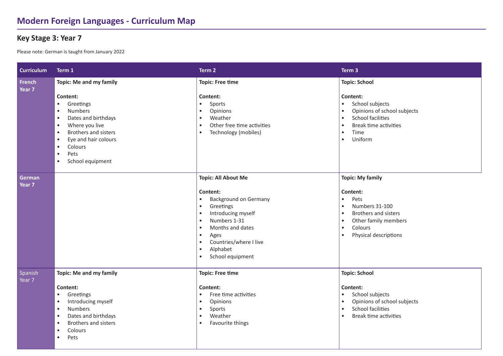#### **Key Stage 3: Year 7**

Please note: German is taught from January 2022

| <b>Curriculum</b>                  | Term 1                                                                                                                                                                                                                                             | Term 2                                                                                                                                                                                                                                                                                                 | Term <sub>3</sub>                                                                                                                                                                                                |
|------------------------------------|----------------------------------------------------------------------------------------------------------------------------------------------------------------------------------------------------------------------------------------------------|--------------------------------------------------------------------------------------------------------------------------------------------------------------------------------------------------------------------------------------------------------------------------------------------------------|------------------------------------------------------------------------------------------------------------------------------------------------------------------------------------------------------------------|
| <b>French</b><br>Year <sub>7</sub> | <b>Topic: Me and my family</b>                                                                                                                                                                                                                     | <b>Topic: Free time</b>                                                                                                                                                                                                                                                                                | <b>Topic: School</b>                                                                                                                                                                                             |
|                                    | Content:<br>Greetings<br><b>Numbers</b><br>٠<br>Dates and birthdays<br>Where you live<br>$\bullet$<br>Brothers and sisters<br>$\bullet$<br>Eye and hair colours<br>$\bullet$<br>Colours<br>$\bullet$<br>Pets<br>$\bullet$<br>School equipment<br>٠ | Content:<br>Sports<br>$\bullet$<br>Opinions<br>$\bullet$<br>Weather<br>$\bullet$<br>Other free time activities<br>$\bullet$<br>Technology (mobiles)<br>$\bullet$                                                                                                                                       | Content:<br>School subjects<br>$\bullet$<br>Opinions of school subjects<br>$\bullet$<br><b>School facilities</b><br>$\bullet$<br>Break time activities<br>$\bullet$<br>Time<br>$\bullet$<br>Uniform<br>$\bullet$ |
| German<br>Year <sub>7</sub>        |                                                                                                                                                                                                                                                    | <b>Topic: All About Me</b>                                                                                                                                                                                                                                                                             | <b>Topic: My family</b>                                                                                                                                                                                          |
|                                    |                                                                                                                                                                                                                                                    | Content:<br><b>Background on Germany</b><br>$\bullet$<br>Greetings<br>$\bullet$<br>Introducing myself<br>$\bullet$<br>Numbers 1-31<br>$\bullet$<br>Months and dates<br>$\bullet$<br>$\bullet$<br>Ages<br>Countries/where I live<br>$\bullet$<br>Alphabet<br>$\bullet$<br>School equipment<br>$\bullet$ | Content:<br>Pets<br>$\bullet$<br>Numbers 31-100<br>$\bullet$<br>Brothers and sisters<br>$\bullet$<br>Other family members<br>$\bullet$<br>Colours<br>$\bullet$<br>Physical descriptions<br>$\bullet$             |
| Spanish<br>Year 7                  | Topic: Me and my family                                                                                                                                                                                                                            | <b>Topic: Free time</b>                                                                                                                                                                                                                                                                                | <b>Topic: School</b>                                                                                                                                                                                             |
|                                    | Content:<br>Greetings<br>٠<br>Introducing myself<br>$\bullet$<br><b>Numbers</b><br>$\bullet$<br>Dates and birthdays<br>$\bullet$<br>Brothers and sisters<br>Colours<br>Pets                                                                        | Content:<br>Free time activities<br>$\bullet$<br>Opinions<br>$\bullet$<br>Sports<br>$\bullet$<br>Weather<br>$\bullet$<br>Favourite things<br>$\bullet$                                                                                                                                                 | Content:<br>School subjects<br>$\bullet$<br>Opinions of school subjects<br>$\bullet$<br><b>School facilities</b><br>$\bullet$<br>Break time activities<br>$\bullet$                                              |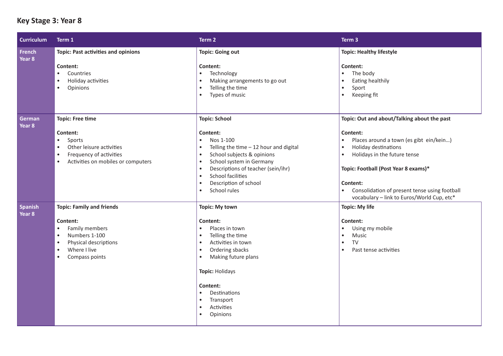# **Key Stage 3: Year 8**

| <b>Curriculum</b>                   | Term 1                                                                                                                                                                                                      | Term 2                                                                                                                                                                                                                                                                                                                                                                | Term 3                                                                                                                                                                                                                                                                                                                                               |
|-------------------------------------|-------------------------------------------------------------------------------------------------------------------------------------------------------------------------------------------------------------|-----------------------------------------------------------------------------------------------------------------------------------------------------------------------------------------------------------------------------------------------------------------------------------------------------------------------------------------------------------------------|------------------------------------------------------------------------------------------------------------------------------------------------------------------------------------------------------------------------------------------------------------------------------------------------------------------------------------------------------|
| French<br>Year <sub>8</sub>         | <b>Topic: Past activities and opinions</b><br>Content:<br>Countries<br>$\bullet$<br>Holiday activities<br>$\bullet$<br>Opinions<br>$\bullet$                                                                | <b>Topic: Going out</b><br>Content:<br>Technology<br>$\bullet$<br>Making arrangements to go out<br>$\bullet$<br>Telling the time<br>$\bullet$<br>Types of music<br>$\bullet$                                                                                                                                                                                          | <b>Topic: Healthy lifestyle</b><br>Content:<br>The body<br>$\bullet$<br>Eating healthily<br>$\bullet$<br>Sport<br>$\bullet$<br>Keeping fit<br>$\bullet$                                                                                                                                                                                              |
| German<br>Year 8                    | <b>Topic: Free time</b><br>Content:<br>$\bullet$<br>Sports<br>Other leisure activities<br>$\bullet$<br>Frequency of activities<br>$\bullet$<br>Activities on mobiles or computers<br>$\bullet$              | <b>Topic: School</b><br>Content:<br>Nos 1-100<br>$\bullet$<br>Telling the time $-12$ hour and digital<br>$\bullet$<br>School subjects & opinions<br>$\bullet$<br>School system in Germany<br>$\bullet$<br>Descriptions of teacher (sein/ihr)<br>$\bullet$<br><b>School facilities</b><br>$\bullet$<br>Description of school<br>$\bullet$<br>School rules<br>$\bullet$ | Topic: Out and about/Talking about the past<br>Content:<br>Places around a town (es gibt ein/kein)<br>$\bullet$<br>Holiday destinations<br>$\bullet$<br>Holidays in the future tense<br>$\bullet$<br>Topic: Football (Post Year 8 exams)*<br>Content:<br>Consolidation of present tense using football<br>vocabulary - link to Euros/World Cup, etc* |
| <b>Spanish</b><br>Year <sub>8</sub> | <b>Topic: Family and friends</b><br>Content:<br>Family members<br>$\bullet$<br>Numbers 1-100<br>$\bullet$<br>Physical descriptions<br>$\bullet$<br>Where I live<br>$\bullet$<br>Compass points<br>$\bullet$ | <b>Topic: My town</b><br>Content:<br>Places in town<br>$\bullet$<br>Telling the time<br>$\bullet$<br>Activities in town<br>$\bullet$<br>Ordering sbacks<br>$\bullet$<br>Making future plans<br>$\bullet$<br>Topic: Holidays<br>Content:<br>Destinations<br>$\bullet$<br>Transport<br>$\bullet$<br>Activities<br>$\bullet$<br>Opinions<br>$\bullet$                    | <b>Topic: My life</b><br>Content:<br>Using my mobile<br>$\bullet$<br>Music<br>$\bullet$<br><b>TV</b><br>$\bullet$<br>Past tense activities<br>$\bullet$                                                                                                                                                                                              |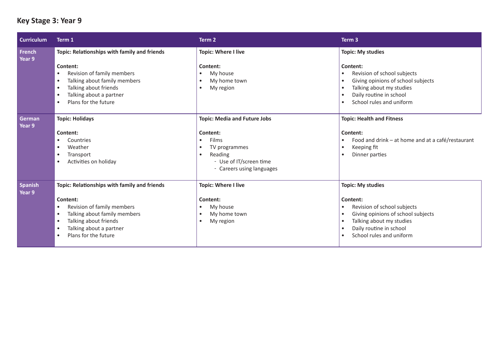# **Key Stage 3: Year 9**

| <b>Curriculum</b>        | Term 1                                                          | Term 2                                              | Term <sub>3</sub>                                                                        |
|--------------------------|-----------------------------------------------------------------|-----------------------------------------------------|------------------------------------------------------------------------------------------|
| <b>French</b><br>Year 9  | Topic: Relationships with family and friends<br>Content:        | <b>Topic: Where I live</b><br>Content:              | <b>Topic: My studies</b><br>Content:                                                     |
|                          | Revision of family members                                      | My house<br>$\bullet$                               | Revision of school subjects<br>$\bullet$                                                 |
|                          | Talking about family members<br>٠<br>Talking about friends<br>٠ | My home town<br>$\bullet$<br>My region<br>$\bullet$ | Giving opinions of school subjects<br>$\bullet$<br>Talking about my studies<br>$\bullet$ |
|                          | Talking about a partner<br>٠                                    |                                                     | Daily routine in school                                                                  |
|                          | Plans for the future<br>٠                                       |                                                     | School rules and uniform<br>٠                                                            |
| German<br>Year 9         | <b>Topic: Holidays</b>                                          | <b>Topic: Media and Future Jobs</b>                 | <b>Topic: Health and Fitness</b>                                                         |
|                          | Content:                                                        | Content:                                            | Content:                                                                                 |
|                          | Countries                                                       | Films<br>$\bullet$                                  | Food and drink - at home and at a café/restaurant                                        |
|                          | Weather<br>Transport<br>٠                                       | TV programmes<br>$\bullet$<br>Reading<br>$\bullet$  | Keeping fit<br>$\bullet$<br>Dinner parties                                               |
|                          | Activities on holiday                                           | - Use of IT/screen time                             |                                                                                          |
|                          |                                                                 | - Careers using languages                           |                                                                                          |
| <b>Spanish</b><br>Year 9 | Topic: Relationships with family and friends                    | <b>Topic: Where I live</b>                          | <b>Topic: My studies</b>                                                                 |
|                          | Content:                                                        | Content:                                            | Content:                                                                                 |
|                          | Revision of family members<br>٠                                 | My house<br>$\bullet$                               | Revision of school subjects<br>٠                                                         |
|                          | Talking about family members<br>٠                               | My home town<br>$\bullet$                           | Giving opinions of school subjects<br>$\bullet$                                          |
|                          | Talking about friends<br>٠                                      | My region<br>$\bullet$                              | Talking about my studies<br>$\bullet$                                                    |
|                          | Talking about a partner<br>٠<br>Plans for the future            |                                                     | Daily routine in school<br>$\bullet$<br>School rules and uniform                         |
|                          | ٠                                                               |                                                     |                                                                                          |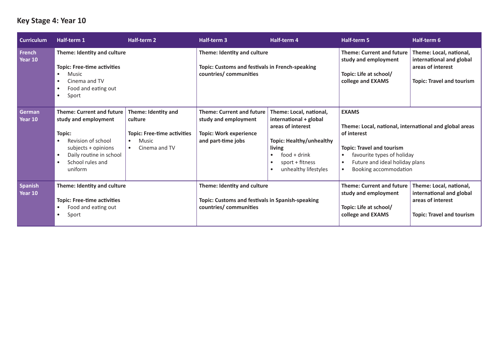# **Key Stage 4: Year 10**

| <b>Curriculum</b>         | Half-term 1                                                                                                                                                                                                      | <b>Half-term 2</b>                                                                                                       | Half-term 3                                                                                                     | Half-term 4                                                                                                                                                                                   | <b>Half-term 5</b>                                                                                                                                                                                                                                        | Half-term 6                                                                                                  |
|---------------------------|------------------------------------------------------------------------------------------------------------------------------------------------------------------------------------------------------------------|--------------------------------------------------------------------------------------------------------------------------|-----------------------------------------------------------------------------------------------------------------|-----------------------------------------------------------------------------------------------------------------------------------------------------------------------------------------------|-----------------------------------------------------------------------------------------------------------------------------------------------------------------------------------------------------------------------------------------------------------|--------------------------------------------------------------------------------------------------------------|
| <b>French</b><br>Year 10  | Theme: Identity and culture<br><b>Topic: Free-time activities</b><br>Music<br>$\bullet$<br>Cinema and TV<br>$\bullet$<br>Food and eating out<br>$\bullet$<br>Sport<br>$\bullet$                                  |                                                                                                                          | Theme: Identity and culture<br>Topic: Customs and festivals in French-speaking<br>countries/ communities        |                                                                                                                                                                                               | <b>Theme: Current and future</b><br>study and employment<br>Topic: Life at school/<br>college and EXAMS                                                                                                                                                   | Theme: Local, national,<br>international and global<br>areas of interest<br><b>Topic: Travel and tourism</b> |
| <b>German</b><br>Year 10  | <b>Theme: Current and future</b><br>study and employment<br>Topic:<br>Revision of school<br>$\bullet$<br>subjects + opinions<br>Daily routine in school<br>$\bullet$<br>School rules and<br>$\bullet$<br>uniform | Theme: Identity and<br>culture<br><b>Topic: Free-time activities</b><br>Music<br>$\bullet$<br>Cinema and TV<br>$\bullet$ | <b>Theme: Current and future</b><br>study and employment<br><b>Topic: Work experience</b><br>and part-time jobs | Theme: Local, national,<br>international + global<br>areas of interest<br><b>Topic: Healthy/unhealthy</b><br>living<br>$food + drink$<br>$\bullet$<br>sport + fitness<br>unhealthy lifestyles | <b>EXAMS</b><br>Theme: Local, national, international and global areas<br>of interest<br><b>Topic: Travel and tourism</b><br>favourite types of holiday<br>$\bullet$<br>Future and ideal holiday plans<br>$\bullet$<br>Booking accommodation<br>$\bullet$ |                                                                                                              |
| <b>Spanish</b><br>Year 10 | Theme: Identity and culture<br><b>Topic: Free-time activities</b><br>Food and eating out<br>$\bullet$<br>Sport<br>$\bullet$                                                                                      |                                                                                                                          | Theme: Identity and culture<br>Topic: Customs and festivals in Spanish-speaking<br>countries/ communities       |                                                                                                                                                                                               | <b>Theme: Current and future</b><br>study and employment<br>Topic: Life at school/<br>college and EXAMS                                                                                                                                                   | Theme: Local, national,<br>international and global<br>areas of interest<br><b>Topic: Travel and tourism</b> |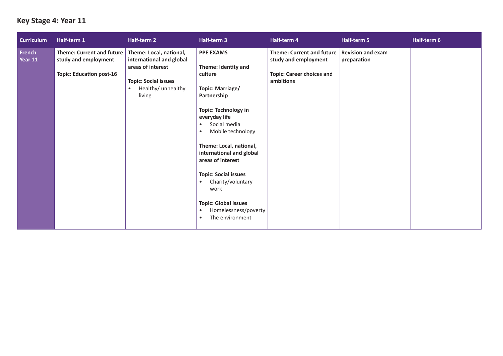#### **Key Stage 4: Year 11**

| <b>Curriculum</b> | Half-term 1                                                                                 | Half-term 2                                                                                                                             | Half-term 3                                                                                                                                                                                                                                                                                                                                                                                                                                                   | Half-term 4                                                                                               | Half-term 5                             | Half-term 6 |
|-------------------|---------------------------------------------------------------------------------------------|-----------------------------------------------------------------------------------------------------------------------------------------|---------------------------------------------------------------------------------------------------------------------------------------------------------------------------------------------------------------------------------------------------------------------------------------------------------------------------------------------------------------------------------------------------------------------------------------------------------------|-----------------------------------------------------------------------------------------------------------|-----------------------------------------|-------------|
| French<br>Year 11 | <b>Theme: Current and future</b><br>study and employment<br><b>Topic: Education post-16</b> | Theme: Local, national,<br>international and global<br>areas of interest<br><b>Topic: Social issues</b><br>Healthy/ unhealthy<br>living | <b>PPE EXAMS</b><br>Theme: Identity and<br>culture<br>Topic: Marriage/<br>Partnership<br><b>Topic: Technology in</b><br>everyday life<br>Social media<br>$\bullet$<br>Mobile technology<br>$\bullet$<br>Theme: Local, national,<br>international and global<br>areas of interest<br><b>Topic: Social issues</b><br>Charity/voluntary<br>$\bullet$<br>work<br><b>Topic: Global issues</b><br>Homelessness/poverty<br>$\bullet$<br>The environment<br>$\bullet$ | <b>Theme: Current and future</b><br>study and employment<br><b>Topic: Career choices and</b><br>ambitions | <b>Revision and exam</b><br>preparation |             |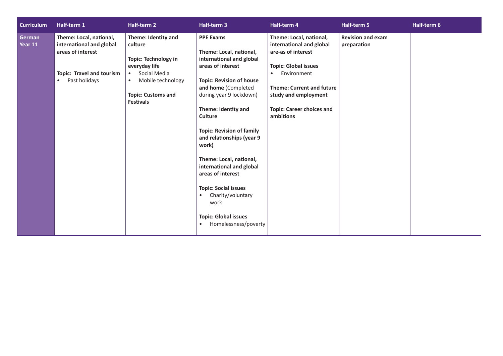| <b>Curriculum</b> | Half-term 1                                                                                                                                | Half-term 2                                                                                                                                                                       | Half-term 3                                                                                                                                                                                                                                                                                                                                                                                                                                                                                                                   | Half-term 4                                                                                                                                                                                                                                       | Half-term 5                             | Half-term 6 |
|-------------------|--------------------------------------------------------------------------------------------------------------------------------------------|-----------------------------------------------------------------------------------------------------------------------------------------------------------------------------------|-------------------------------------------------------------------------------------------------------------------------------------------------------------------------------------------------------------------------------------------------------------------------------------------------------------------------------------------------------------------------------------------------------------------------------------------------------------------------------------------------------------------------------|---------------------------------------------------------------------------------------------------------------------------------------------------------------------------------------------------------------------------------------------------|-----------------------------------------|-------------|
| German<br>Year 11 | Theme: Local, national,<br>international and global<br>areas of interest<br><b>Topic: Travel and tourism</b><br>Past holidays<br>$\bullet$ | Theme: Identity and<br>culture<br><b>Topic: Technology in</b><br>everyday life<br>Social Media<br>Mobile technology<br>$\bullet$<br><b>Topic: Customs and</b><br><b>Festivals</b> | <b>PPE Exams</b><br>Theme: Local, national,<br>international and global<br>areas of interest<br><b>Topic: Revision of house</b><br>and home (Completed<br>during year 9 lockdown)<br>Theme: Identity and<br><b>Culture</b><br><b>Topic: Revision of family</b><br>and relationships (year 9<br>work)<br>Theme: Local, national,<br>international and global<br>areas of interest<br><b>Topic: Social issues</b><br>Charity/voluntary<br>$\bullet$<br>work<br><b>Topic: Global issues</b><br>Homelessness/poverty<br>$\bullet$ | Theme: Local, national,<br>international and global<br>are-as of interest<br><b>Topic: Global issues</b><br>Environment<br>$\bullet$<br><b>Theme: Current and future</b><br>study and employment<br><b>Topic: Career choices and</b><br>ambitions | <b>Revision and exam</b><br>preparation |             |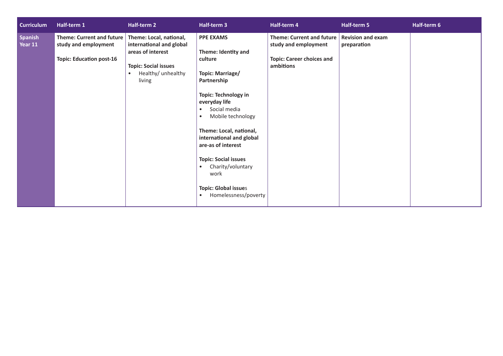| <b>Curriculum</b>  | Half-term 1                                                                                 | Half-term 2                                                                                                                                          | Half-term 3                                                                                                                                                                                                                                                                                                                                                                                                                    | Half-term 4                                                                                               | Half-term 5                             | Half-term 6 |
|--------------------|---------------------------------------------------------------------------------------------|------------------------------------------------------------------------------------------------------------------------------------------------------|--------------------------------------------------------------------------------------------------------------------------------------------------------------------------------------------------------------------------------------------------------------------------------------------------------------------------------------------------------------------------------------------------------------------------------|-----------------------------------------------------------------------------------------------------------|-----------------------------------------|-------------|
| Spanish<br>Year 11 | <b>Theme: Current and future</b><br>study and employment<br><b>Topic: Education post-16</b> | Theme: Local, national,<br>international and global<br>areas of interest<br><b>Topic: Social issues</b><br>Healthy/ unhealthy<br>$\bullet$<br>living | <b>PPE EXAMS</b><br>Theme: Identity and<br>culture<br>Topic: Marriage/<br>Partnership<br><b>Topic: Technology in</b><br>everyday life<br>Social media<br>$\bullet$<br>Mobile technology<br>$\bullet$<br>Theme: Local, national,<br>international and global<br>are-as of interest<br><b>Topic: Social issues</b><br>Charity/voluntary<br>$\bullet$<br>work<br><b>Topic: Global issues</b><br>Homelessness/poverty<br>$\bullet$ | <b>Theme: Current and future</b><br>study and employment<br><b>Topic: Career choices and</b><br>ambitions | <b>Revision and exam</b><br>preparation |             |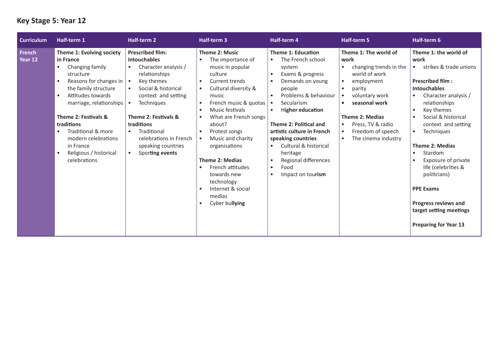# **Key Stage 5: Year 12**

| <b>Curriculum</b>                   | Half-term 1                                                                                                                                                                                                                                                                                                                                                       | <b>Half-term 2</b>                                                                                                                                                                                                                                                                                                                                                | Half-term 3                                                                                                                                                                                                                                                                                                                                                                                                                                                                                                                                   | <b>Half-term 4</b>                                                                                                                                                                                                                                                                                                                                                                                                   | <b>Half-term 5</b>                                                                                                                                                                                                                                                                                                        | Half-term 6                                                                                                                                                                                                                                                                                                                                                                                                                                                                                                                        |
|-------------------------------------|-------------------------------------------------------------------------------------------------------------------------------------------------------------------------------------------------------------------------------------------------------------------------------------------------------------------------------------------------------------------|-------------------------------------------------------------------------------------------------------------------------------------------------------------------------------------------------------------------------------------------------------------------------------------------------------------------------------------------------------------------|-----------------------------------------------------------------------------------------------------------------------------------------------------------------------------------------------------------------------------------------------------------------------------------------------------------------------------------------------------------------------------------------------------------------------------------------------------------------------------------------------------------------------------------------------|----------------------------------------------------------------------------------------------------------------------------------------------------------------------------------------------------------------------------------------------------------------------------------------------------------------------------------------------------------------------------------------------------------------------|---------------------------------------------------------------------------------------------------------------------------------------------------------------------------------------------------------------------------------------------------------------------------------------------------------------------------|------------------------------------------------------------------------------------------------------------------------------------------------------------------------------------------------------------------------------------------------------------------------------------------------------------------------------------------------------------------------------------------------------------------------------------------------------------------------------------------------------------------------------------|
| <b>French</b><br>Year <sub>12</sub> | Theme 1: Evolving society<br>in France<br>Changing family<br>$\bullet$<br>structure<br>Reasons for changes in<br>$\bullet$<br>the family structure<br>Attitudes towards<br>$\bullet$<br>marriage, relationships $\cdot$<br>Theme 2: Festivals &<br>traditions<br>Traditional & more<br>modern celebrations<br>in France<br>Religious / historical<br>celebrations | <b>Prescribed film:</b><br><b>Intouchables</b><br>Character analysis /<br>$\bullet$<br>relationships<br>Key themes<br>$\bullet$<br>Social & historical<br>$\bullet$<br>context and setting<br><b>Techniques</b><br>Theme 2: Festivals &<br>traditions<br>Traditional<br>$\bullet$<br>celebrations in French<br>speaking countries<br>Sporting events<br>$\bullet$ | <b>Theme 2: Music</b><br>The importance of<br>$\bullet$<br>music in popular<br>culture<br>Current trends<br>$\bullet$<br>Cultural diversity &<br>$\bullet$<br>music<br>French music & quotas<br>$\bullet$<br>Music festivals<br>$\bullet$<br>What are French songs<br>$\bullet$<br>about?<br>Protest songs<br>$\bullet$<br>Music and charity<br>$\bullet$<br>organisations<br><b>Theme 2: Medias</b><br>French attitudes<br>$\bullet$<br>towards new<br>technology<br>Internet & social<br>$\bullet$<br>medias<br>Cyber bullying<br>$\bullet$ | <b>Theme 1: Education</b><br>The French school<br>$\bullet$<br>system<br>Exams & progress<br>$\bullet$<br>Demands on young<br>people<br>Problems & behaviour<br>Secularism<br><b>Higher education</b><br>$\bullet$<br>Theme 2: Political and<br>artistic culture in French<br>speaking countries<br>Cultural & historical<br>$\bullet$<br>heritage<br>Regional differences<br>Food<br>$\bullet$<br>Impact on tourism | Theme 1: The world of<br>work<br>changing trends in the<br>$\bullet$<br>world of work<br>employment<br>$\bullet$<br>$\bullet$<br>parity<br>voluntary work<br>seasonal work<br>$\bullet$<br><b>Theme 2: Medias</b><br>Press, TV & radio<br>$\bullet$<br>Freedom of speech<br>$\bullet$<br>The cinema industry<br>$\bullet$ | Theme 1: the world of<br>work<br>strikes & trade unions<br>$\bullet$<br><b>Prescribed film:</b><br><b>Intouchables</b><br>Character analysis /<br>$\bullet$<br>relationships<br>Key themes<br>$\bullet$<br>Social & historical<br>context and setting<br><b>Techniques</b><br>$\bullet$<br><b>Theme 2: Medias</b><br>Stardom<br>$\bullet$<br>Exposure of private<br>$\bullet$<br>life (celebrities &<br>politicians)<br><b>PPE Exams</b><br><b>Progress reviews and</b><br>target setting meetings<br><b>Preparing for Year 13</b> |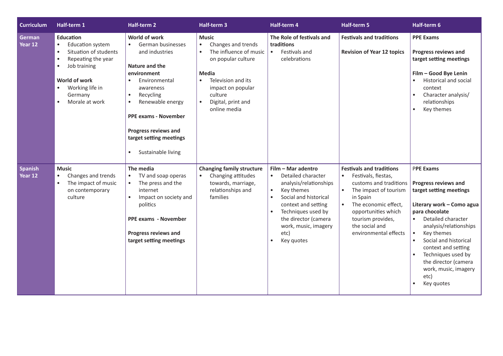| <b>Curriculum</b>         | Half-term 1                                                                                                                                                                                                                                  | Half-term 2                                                                                                                                                                                                                                                                                   | Half-term 3                                                                                                                                                                                                                    | Half-term 4                                                                                                                                                                                                                                                         | <b>Half-term 5</b>                                                                                                                                                                                                                                | Half-term 6                                                                                                                                                                                                                                                                                                                         |
|---------------------------|----------------------------------------------------------------------------------------------------------------------------------------------------------------------------------------------------------------------------------------------|-----------------------------------------------------------------------------------------------------------------------------------------------------------------------------------------------------------------------------------------------------------------------------------------------|--------------------------------------------------------------------------------------------------------------------------------------------------------------------------------------------------------------------------------|---------------------------------------------------------------------------------------------------------------------------------------------------------------------------------------------------------------------------------------------------------------------|---------------------------------------------------------------------------------------------------------------------------------------------------------------------------------------------------------------------------------------------------|-------------------------------------------------------------------------------------------------------------------------------------------------------------------------------------------------------------------------------------------------------------------------------------------------------------------------------------|
| German<br>Year 12         | <b>Education</b><br><b>Education system</b><br>$\bullet$<br>Situation of students<br>$\bullet$<br>Repeating the year<br>$\bullet$<br>Job training<br>$\bullet$<br>World of work<br>Working life in<br>Germany<br>Morale at work<br>$\bullet$ | World of work<br>$\bullet$<br>German businesses<br>and industries<br>Nature and the<br>environment<br>Environmental<br>awareness<br>Recycling<br>$\bullet$<br>Renewable energy<br><b>PPE exams - November</b><br><b>Progress reviews and</b><br>target setting meetings<br>Sustainable living | <b>Music</b><br>Changes and trends<br>$\bullet$<br>The influence of music<br>on popular culture<br>Media<br>Television and its<br>$\bullet$<br>impact on popular<br>culture<br>Digital, print and<br>$\bullet$<br>online media | The Role of festivals and<br>traditions<br>$\bullet$<br>Festivals and<br>celebrations                                                                                                                                                                               | <b>Festivals and traditions</b><br><b>Revision of Year 12 topics</b>                                                                                                                                                                              | <b>PPE Exams</b><br><b>Progress reviews and</b><br>target setting meetings<br>Film - Good Bye Lenin<br>Historical and social<br>context<br>Character analysis/<br>relationships<br>Key themes                                                                                                                                       |
| <b>Spanish</b><br>Year 12 | <b>Music</b><br>Changes and trends<br>$\bullet$<br>The impact of music<br>$\bullet$<br>on contemporary<br>culture                                                                                                                            | The media<br>TV and soap operas<br>$\bullet$<br>The press and the<br>$\bullet$<br>internet<br>Impact on society and<br>$\bullet$<br>politics<br><b>PPE exams - November</b><br><b>Progress reviews and</b><br>target setting meetings                                                         | <b>Changing family structure</b><br>Changing attitudes<br>towards, marriage,<br>relationships and<br>families                                                                                                                  | Film - Mar adentro<br>Detailed character<br>$\bullet$<br>analysis/relationships<br>Key themes<br>$\bullet$<br>Social and historical<br>context and setting<br>Techniques used by<br>$\bullet$<br>the director (camera<br>work, music, imagery<br>etc)<br>Key quotes | <b>Festivals and traditions</b><br>Festivals, fiestas,<br>$\bullet$<br>customs and traditions<br>The impact of tourism<br>in Spain<br>The economic effect,<br>opportunities which<br>tourism provides,<br>the social and<br>environmental effects | <b>PPE Exams</b><br><b>Progress reviews and</b><br>target setting meetings<br>Literary work - Como agua<br>para chocolate<br>Detailed character<br>analysis/relationships<br>Key themes<br>Social and historical<br>context and setting<br>Techniques used by<br>the director (camera<br>work, music, imagery<br>etc)<br>Key quotes |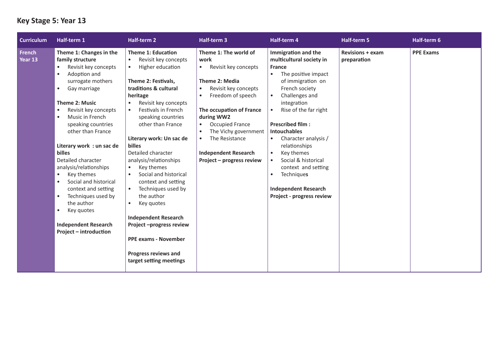#### **Key Stage 5: Year 13**

| <b>Curriculum</b>        | Half-term 1                                                                                                                                                                                                                                                                                                                                                                                                                                                                                                                                                                                                                  | Half-term 2                                                                                                                                                                                                                                                                                                                                                                                                                                                                                                                                                                                                                                                                                         | <b>Half-term 3</b>                                                                                                                                                                                                                                                                                                                                 | Half-term 4                                                                                                                                                                                                                                                                                                                                                                                                                                         | Half-term 5                            | Half-term 6      |
|--------------------------|------------------------------------------------------------------------------------------------------------------------------------------------------------------------------------------------------------------------------------------------------------------------------------------------------------------------------------------------------------------------------------------------------------------------------------------------------------------------------------------------------------------------------------------------------------------------------------------------------------------------------|-----------------------------------------------------------------------------------------------------------------------------------------------------------------------------------------------------------------------------------------------------------------------------------------------------------------------------------------------------------------------------------------------------------------------------------------------------------------------------------------------------------------------------------------------------------------------------------------------------------------------------------------------------------------------------------------------------|----------------------------------------------------------------------------------------------------------------------------------------------------------------------------------------------------------------------------------------------------------------------------------------------------------------------------------------------------|-----------------------------------------------------------------------------------------------------------------------------------------------------------------------------------------------------------------------------------------------------------------------------------------------------------------------------------------------------------------------------------------------------------------------------------------------------|----------------------------------------|------------------|
| <b>French</b><br>Year 13 | Theme 1: Changes in the<br>family structure<br>Revisit key concepts<br>$\bullet$<br>Adoption and<br>$\bullet$<br>surrogate mothers<br>Gay marriage<br>$\bullet$<br><b>Theme 2: Music</b><br>Revisit key concepts<br>$\bullet$<br>Music in French<br>$\bullet$<br>speaking countries<br>other than France<br>Literary work : un sac de<br>billes<br>Detailed character<br>analysis/relationships<br>Key themes<br>$\bullet$<br>Social and historical<br>$\bullet$<br>context and setting<br>Techniques used by<br>$\bullet$<br>the author<br>Key quotes<br>$\bullet$<br><b>Independent Research</b><br>Project - introduction | <b>Theme 1: Education</b><br>Revisit key concepts<br>$\bullet$<br>Higher education<br>$\bullet$<br>Theme 2: Festivals,<br>traditions & cultural<br>heritage<br>Revisit key concepts<br>$\bullet$<br>Festivals in French<br>$\bullet$<br>speaking countries<br>other than France<br>Literary work: Un sac de<br><b>billes</b><br>Detailed character<br>analysis/relationships<br>Key themes<br>$\bullet$<br>Social and historical<br>$\bullet$<br>context and setting<br>Techniques used by<br>$\bullet$<br>the author<br>Key quotes<br>$\bullet$<br><b>Independent Research</b><br>Project-progress review<br><b>PPE exams - November</b><br><b>Progress reviews and</b><br>target setting meetings | Theme 1: The world of<br>work<br>Revisit key concepts<br>$\bullet$<br>Theme 2: Media<br>Revisit key concepts<br>$\bullet$<br>Freedom of speech<br>$\bullet$<br>The occupation of France<br>during WW2<br><b>Occupied France</b><br>The Vichy government<br>The Resistance<br>$\bullet$<br><b>Independent Research</b><br>Project – progress review | Immigration and the<br>multicultural society in<br><b>France</b><br>The positive impact<br>$\bullet$<br>of immigration on<br>French society<br>Challenges and<br>integration<br>Rise of the far right<br><b>Prescribed film:</b><br><b>Intouchables</b><br>Character analysis /<br>relationships<br>Key themes<br>$\bullet$<br>Social & historical<br>context and setting<br>Techniques<br><b>Independent Research</b><br>Project - progress review | <b>Revisions + exam</b><br>preparation | <b>PPE Exams</b> |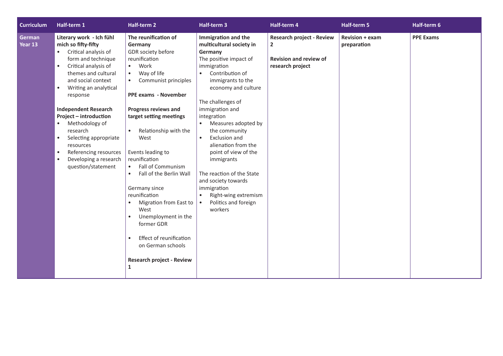| <b>Curriculum</b> | Half-term 1                                                                                                                                                                                                                                                                                                                                                                                                                                                                                | Half-term 2                                                                                                                                                                                                                                                                                                                                                                                                                                                                                                                                                                                                                                                         | Half-term 3                                                                                                                                                                                                                                                                                                                                                                                                                                                                                             | Half-term 4                                                                                           | Half-term 5                           | Half-term 6      |
|-------------------|--------------------------------------------------------------------------------------------------------------------------------------------------------------------------------------------------------------------------------------------------------------------------------------------------------------------------------------------------------------------------------------------------------------------------------------------------------------------------------------------|---------------------------------------------------------------------------------------------------------------------------------------------------------------------------------------------------------------------------------------------------------------------------------------------------------------------------------------------------------------------------------------------------------------------------------------------------------------------------------------------------------------------------------------------------------------------------------------------------------------------------------------------------------------------|---------------------------------------------------------------------------------------------------------------------------------------------------------------------------------------------------------------------------------------------------------------------------------------------------------------------------------------------------------------------------------------------------------------------------------------------------------------------------------------------------------|-------------------------------------------------------------------------------------------------------|---------------------------------------|------------------|
| German<br>Year 13 | Literary work - Ich fühl<br>mich so fifty-fifty<br>Critical analysis of<br>$\bullet$<br>form and technique<br>Critical analysis of<br>$\bullet$<br>themes and cultural<br>and social context<br>Writing an analytical<br>$\bullet$<br>response<br><b>Independent Research</b><br>Project - introduction<br>Methodology of<br>research<br>Selecting appropriate<br>$\bullet$<br>resources<br>Referencing resources<br>$\bullet$<br>Developing a research<br>$\bullet$<br>question/statement | The reunification of<br>Germany<br>GDR society before<br>reunification<br>Work<br>$\bullet$<br>Way of life<br>$\bullet$<br>Communist principles<br>$\bullet$<br><b>PPE exams - November</b><br><b>Progress reviews and</b><br>target setting meetings<br>Relationship with the<br>$\bullet$<br>West<br>Events leading to<br>reunification<br><b>Fall of Communism</b><br>$\bullet$<br>Fall of the Berlin Wall<br>$\bullet$<br>Germany since<br>reunification<br>Migration from East to<br>$\bullet$<br>West<br>Unemployment in the<br>$\bullet$<br>former GDR<br>Effect of reunification<br>$\bullet$<br>on German schools<br><b>Research project - Review</b><br>1 | Immigration and the<br>multicultural society in<br>Germany<br>The positive impact of<br>immigration<br>Contribution of<br>$\bullet$<br>immigrants to the<br>economy and culture<br>The challenges of<br>immigration and<br>integration<br>Measures adopted by<br>the community<br>Exclusion and<br>$\bullet$<br>alienation from the<br>point of view of the<br>immigrants<br>The reaction of the State<br>and society towards<br>immigration<br>Right-wing extremism<br>Politics and foreign<br>workers | <b>Research project - Review</b><br>$\mathbf{2}$<br><b>Revision and review of</b><br>research project | <b>Revision + exam</b><br>preparation | <b>PPE Exams</b> |